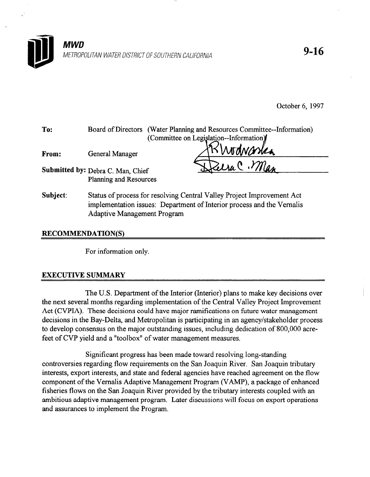

October 6, 1997

| To:      | Board of Directors (Water Planning and Resources Committee--Information)<br>(Committee on Legislation--Information)                                                                    |  |
|----------|----------------------------------------------------------------------------------------------------------------------------------------------------------------------------------------|--|
| From:    | KWodwaska<br>General Manager                                                                                                                                                           |  |
|          | ZeraC. Mas<br>Submitted by: Debra C. Man, Chief<br>Planning and Resources                                                                                                              |  |
| Subject: | Status of process for resolving Central Valley Project Improvement Act<br>implementation issues: Department of Interior process and the Vernalis<br><b>Adaptive Management Program</b> |  |

# RECOMMENDATION(S)

For information only.

# EXECUTIVE SUMMARY

The U.S. Department of the Interior (Interior) plans to make key decisions over the next several months regarding implementation of the Central Valley Project Improvement Act (CVPIA). These decisions could have major ramifications on future water management decisions in the Bay-Delta, and Metropolitan is participating in an agency/stakeholder process to develop consensus on the major outstanding issues, including dedication of 800,000 acrefeet of CVP yield and a "toolbox" of water management measures.

Significant progress has been made toward resolving long-standing controversies regarding flow requirements on the San Joaquin River. San Joaquin tributary interests, export interests, and state and federal agencies have reached agreement on the flow component of the Vemalis Adaptive Management Program (VAMP), a package of enhanced fisheries flows on the San Joaquin River provided by the tributary interests coupled with an ambitious adaptive management program. Later discussions will focus on export operations and assurances to implement the Program.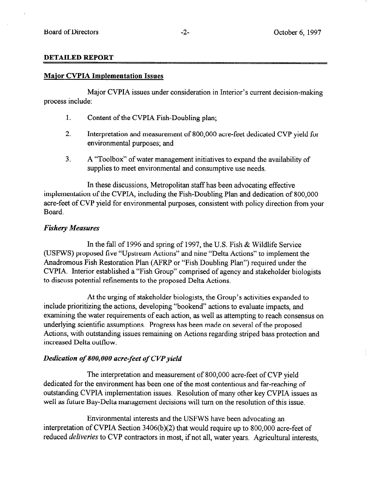#### DETAILED REPORT

#### Major CVPIA Implementation Issues

Major CVPIA issues under consideration in Interior's current decision-making process include:

- 1. Content of the CVPIA Fish-Doubling plan;
- 2. Interpretation and measurement of 800,000 acre-feet dedicated CVP yield for environmental purposes; and
- 3. A "Toolbox" of water management initiatives to expand the availability of supplies to meet environmental and consumptive use needs.

In these discussions, Metropolitan staff has been advocating effective implementation of the CVPIA, including the Fish-Doubling Plan and dedication of 800,000 acre-feet of CVP yield for environmental purposes, consistent with policy direction from your Board.

# Fishery Measures

In the fall of 1996 and spring of 1997, the U.S. Fish & Wildlife Service (USFWS) proposed five "Upstream Actions" and nine "Delta Actions" to implement the Anadromous Fish Restoration Plan (AFRP or "Fish Doubling Plan") required under the CVPIA. Interior established a "Fish Croup" comprised of agency and stakeholder biologists to discuss potential refinements to the proposed Delta Actions,

At the urging of stakeholder biologists, the Croup's activities expanded to include prioritizing the actions, developing "bookend" actions to evaluate impacts, and examining the water requirements of each action, as well as attempting to reach consensus on underlying scientific assumptions. Progress has been made on several of the proposed Actions, with outstanding issues remaining on Actions regarding striped bass protection and increased Delta outflow.

### Dedication of 800,000 acre-feet of CVP yield

The interpretation and measurement of 800,000 acre-feet of CVP yield dedicated for the environment has been one of the most contentious and far-reaching of outstanding CVPIA implementation issues. Resolution of many other key CVPIA issues as well as future Bay-Delta management decisions will turn on the resolution of this issue.

Environmental interests and the USFWS have been advocating an interpretation of CVPIA Section 3406(b)(2) that would require up to 800,000 acre-feet of reduced *deliveries* to CVP contractors in most, if not all, water years. Agricultural interests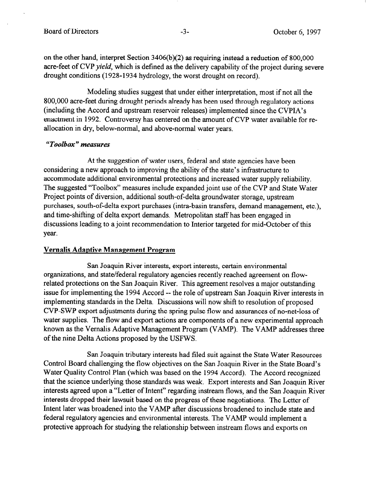on the other hand, interpret Section 3406(b)(2) as requiring instead a reduction of 800,000 acre-feet of CVP yield, which is defined as the delivery capability of the project during severe drought conditions (1928-1934 hydrology, the worst drought on record).

Modeling studies suggest that under either interpretation, most if not all the 800,000 acre-feet during drought periods already has been used through regulatory actions (including the Accord and upstream reservoir releases) implemented since the CVPIA's enactment in 1992. Controversy has centered on the amount of CVP water available for reallocation in dry, below-normal, and above-normal water years.

# "Toolbox" measures

At the suggestion of water users, federal and state agencies have been considering a new approach to improving the ability of the state's infrastructure to accommodate additional environmental protections and increased water supply reliability. The suggested "Toolbox" measures include expanded joint use of the CVP and State Water Project points of diversion, additional south-of-delta groundwater storage, upstream purchases, south-of-delta export purchases (intra-basin transfers, demand management, etc.), and time-shifting of delta export demands. Metropolitan staff has been engaged in discussions leading to a joint recommendation to Interior targeted for mid-October of this year.

# Vernalis Adaptive Management Program

San Joaquin River interests, export interests, certain environmental organizations, and state/federal regulatory agencies recently reached agreement on flowrelated protections on the San Joaquin River. This agreement resolves a major outstanding issue for implementing the 1994 Accord -- the role of upstream San Joaquin River interests in implementing standards in the Delta. Discussions will now shift to resolution of proposed CVP-SWP export adjustments during the spring pulse flow and assurances of no-net-loss of water supplies. The flow and export actions are components of a new experimental approach known as the Vernalis Adaptive Management Program (VAMP). The VAMP addresses three of the nine Delta Actions proposed by the USFWS.

San Joaquin tributary interests had filed suit against the State Water Resources Control Board challenging the flow objectives on the San Joaquin River in the State Board's Water Quality Control Plan (which was based on the 1994 Accord). The Accord recognized that the science underlying those standards was weak. Export interests and San Joaquin River interests agreed upon a "Letter of Intent" regarding instream flows, and the San Joaquin River interests dropped their lawsuit based on the progress of these negotiations. The Letter of Intent later was broadened into the VAMP after discussions broadened to include state and federal regulatory agencies and environmental interests. The VAMP would implement a protective approach for studying the relationship between instream flows and exports on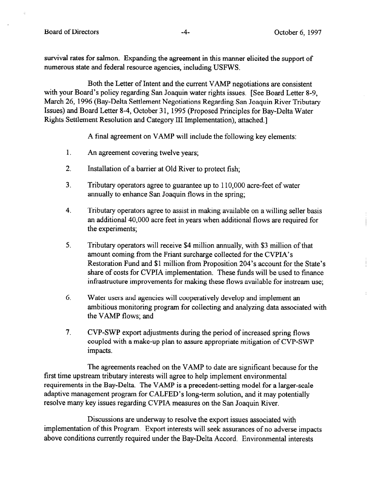survival rates for salmon. Expanding the agreement in this manner elicited the support of numerous state and federal resource agencies, including USFWS.

Both the Letter of Intent and the current VAMP negotiations are consistent with your Board's policy regarding San Joaquin water rights issues. [See Board Letter 8-9, March 26, 1996 (Bay-Delta Settlement Negotiations Regarding San Joaquin River Tributary Issues) and Board Letter 8-4, October 31, 1995 (Proposed Principles for Bay-Delta Water Rights Settlement Resolution and Category III Implementation), attached.]

A final agreement on VAMP will include the following key elements:

- 1. An agreement covering twelve years;
- 2. Installation of a barrier at Old River to protect fish;
- 3. Tributary operators agree to guarantee up to 110,000 acre-feet of water annually to enhance San Joaquin flows in the spring;
- 4. Tributary operators agree to assist in making available on a willing seller basis an additional 40,000 acre feet in years when additional flows are required for the experiments;
- 5. Tributary operators will receive \$4 million annually, with \$3 million of that amount coming from the Friant surcharge collected for the CVPIA's Restoration Fund and \$1 million from Proposition 204's account for the State's share of costs for CVPIA implementation. These funds will be used to finance infrastructure improvements for making these flows available for instream use;
- 6. Water users and agencies will cooperatively develop and implement an ambitious monitoring program for collecting and analyzing data associated with the VAMP flows; and
- 7. CVP-SWP export adjustments during the period of increased spring flows coupled with a make-up plan to assure appropriate mitigation of CVP-SWP impacts.

The agreements reached on the VAMP to date are significant because for the first time upstream tributary interests will agree to help implement environmental requirements in the Bay-Delta. The VAMP is a precedent-setting model for a larger-scale adaptive management program for CALFED's long-term solution, and it may potentially resolve many key issues regarding CVPIA measures on the San Joaquin River.

Discussions are underway to resolve the export issues associated with implementation of this Program. Export interests will seek assurances of no adverse impacts above conditions currently required under the Bay-Delta Accord. Environmental interests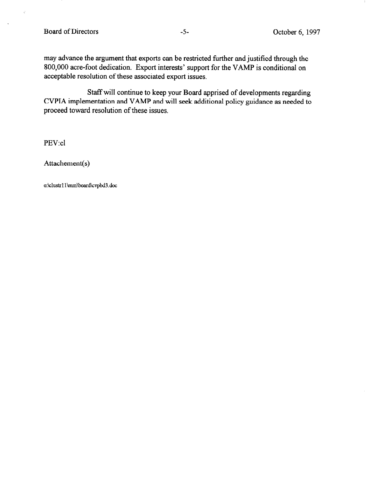R

may advance the argument that exports can be restricted further and justified through the 800,000 acre-foot dedication. Export interests' support for the VAMP is conditional on acceptable resolution of these associated export issues.

Staff will continue to keep your Board apprised of developments regarding CVPIA implementation and VAMP and will seek additional policy guidance as needed to proceed toward resolution of these issues.

PEV: cl

Attachement(s)

o:\clustrl limm\board\cvpbd3. dot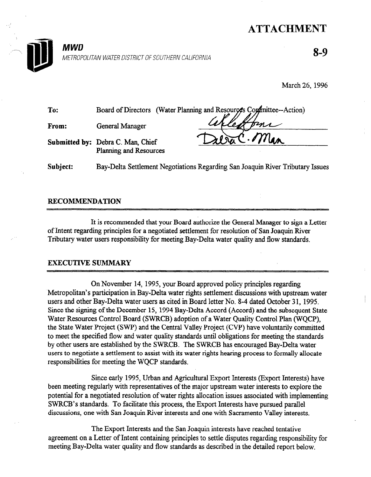# ATTACHMENT



8-9

March 26, 1996

| To:   |                                                             | Board of Directors (Water Planning and Resources Continuation) |
|-------|-------------------------------------------------------------|----------------------------------------------------------------|
| From: | General Manager                                             |                                                                |
|       | Submitted by: Debra C. Man, Chief<br>Planning and Resources | ZeraC. Man                                                     |
|       |                                                             |                                                                |

Subject: Bay-Delta Settlement Negotiations Regarding San Joaquin River Tributary Issues

# RECOMMENDATION

It is recommended that your Board authorize the General Manager to sign a Letter of International regarding principles for a negotiated settlement for resolution of  $S$ of them registing principles for a negotiated settlement for resolution of Ban Joaquin NVC

# EXECUTIVE SUMMARY

On November 14, 1995, your Board approved policy principles regarding  $\frac{M_{\text{max}}}{M_{\text{max}}}$  on November 14, 1990, your board approved policy principles regarding Metropolitan's participation in Bay-Delta water rights settlement discussions with upstream water users and other Bay-Delta water users as cited in Board letter No. 8-4 dated October 31, 1995. Since the signing of the December 15, 1994 Bay-Delta Accord (Accord) and the subsequent State Water Resources Control Board (SWRCB) adoption of a Water Quality Control Plan (WQCP). the State Water Project (SWP) and the Central Valley Project (CVP) have voluntarily committed to meet the specified flow and water quality standards until obligations for meeting the standards by other users are established by the SWRCB. The SWRCB has encouraged Bay-Delta water users to negotiate a settlement to assist with its water rights hearing process to formally allocate responsibilities for meeting the WQCP standards.

Since early 1995, Urban and Agricultural Export Interests (Export Interests) have been meeting regularly with representatives of the major upstream water interests to explore the potential for a negotiated resolution of water rights allocation issues associated with implementing SWRCB's standards. To facilitate this process, the Export Interests have pursued parallel discussions, one with San Joaquin River interests and one with Sacramento Valley interests.

Since early 1995, Urban and Agricultural Export Interests (Export Interests) have

The Export Interests and the San Joaquin interests have reached tentative agreement on a Letter of Intent containing principles to settle disputes regarding responsibility for meeting Bay-Delta water quality and flow standards as described in the detailed report below.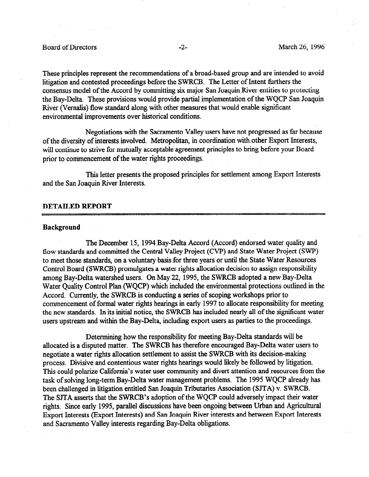These principles represent the recommendations of a broad-based group and are intended to avoid litigation and contested proceedings before the SWRCB. The Letter of Intent furthers the consensus model of the Accord by committing six major San Joaquin River entities to protecting the Bay-Delta. These provisions would provide partial implementation of the WQCP San Joaquin River (Vemalis) flow standard along with other measures that would enable significant environmental improvements over historical conditions.

Negotiations with the Sacramento Valley users have not progressed as far because of the diversity of interests involved. Metropolitan in coordination with other Export Interests, will continue to strive for mutually acceptable agreement principles to bring before your Board prior to commencement of the water rights proceedings.

This letter presents the proposed principles for settlement among Export Interests and the San Joaquin River Interests.

#### DETAILED REPORT

#### Background

The December 15, 1994 Bay-Delta Accord (Accord) endorsed water quality and flow standards and committed the Central Valley Project (CVP) and State Water Project (SWP) to meet those standards, on a voluntary basis for three years or until the State Water Resources Control Board (SWRCB) promulgates a water rights allocation decision to assign responsibility among Bay-Delta watershed users. On May 22, 1995, the SWRCB adopted a new Bay-Delta Water Quality Control Plan (WQCP) which included the environmental protections outlined in the Accord. Currently, the SWRCB is conducting a series of scoping workshops prior to commencement of formal water rights hearings in early 1997 to allocate responsibility for meeting the new standards. In its initial notice, the SWRCB has included nearly all of the significant water users upstream and within the Bay-Delta, including export users as parties to the proceedings.

Determining how the responsibility for meeting Bay-Delta standards will be allocated is a disputed matter. The SWRCB has therefore encouraged Bay-Delta water users to negotiate a water rights allocation settlement to assist the SWRCB with its decision-making process. Divisive and contentious water rights hearings would likely be followed by litigation. This could polarize California's water user community and divert attention and resources from the task of solving long-term Bay-Delta water management problems. The 1995 WQCP already has been challenged in litigation entitled San Joaquin Tributaries Association (SJTA) v. SWRCB. The SJTA asserts that the SWRCB's adoption of the WQCP could adversely impact their water rights. Since early 1995, parallel discussions have been ongoing between Urban and Agricultural Export Interests (Export Interests) and San Joaquin River interests and between Export Interests and Sacramento Valley interests regarding Bay-Delta obligations.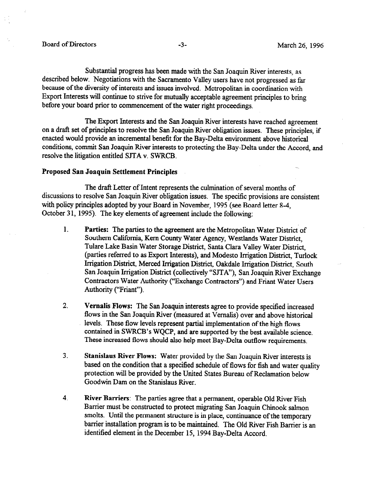Substantial progress has been made with the San Joaquin River interests, as described below. Negotiations with the Sacramento Valley users have not progressed as far because of the diversity of interests and issues involved. Metropolitan in coordination with Export Interests will continue to strive for mutually acceptable agreement principles to bring before your board prior to commencement of the water right proceedings.

The Export Interests and the San Joaquin River interests have reached agreement on a draft set of principles to resolve the San Joaquin River obligation issues. These principles, if enacted would provide an incremental benefit for the Bay-Delta environment above historical conditions, commit San Joaquin River interests to protecting the Bay-Delta under the Accord, and resolve the litigation entitled SJTA v. SWRCB.

#### Proposed San Joaquin Settlement Principles

The draft Letter of Intent represents the culmination of several months of discussions to resolve San Joaquin River obligation issues. The specific provisions are consistent with policy principles adopted by your Board in November, 1995 (see Board letter 8-4, October 31, 1995). The key elements of agreement include the following:

- 1. Parties: The parties to the agreement are the Metropolitan Water District of Southern California, Kern County Water Agency, Westlands Water District, Tulare Lake Basin Water Storage District, Santa Clara Valley Water District, (parties referred to as Export Interests), and Modesto Irrigation District, Turlock Irrigation District, Merced Irrigation District, Oakdale Irrigation District, South San Joaquin Irrigation District (collectively "SJTA"), San Joaquin River Exchange Contractors Water Authority ("Exchange Contractors") and Friant Water Users Authority ("Friant").
- 2. Vemalis Flows: The San Joaquin interests agree to provide specified increased flows in the San Joaquin River (measured at Vemalis) over and above historical levels. These flow levels represent partial implementation of the high flows contained in SWRCB's WQCP, and are supported by the best available science. These increased flows should also help meet Bay-Delta outflow requirements.
- 3. Stanislaus River Flows: Water provided by the San Joaquin River interests is based on the condition that a specified schedule of flows for fish and water quality protection will be provided by the United States Bureau of Reclamation below Goodwin Dam on the Stanislaus River.
- 4. River Barriers: The parties agree that a permanent, operable Old River Fish Barrier must be constructed to protect migrating San Joaquin Chinook salmon smolts. Until the permanent structure is in place, continuance of the temporary barrier installation program is to be maintained. The Old River Fish Barrier is an identified element in the December 15, 1994 Bay-Delta Accord.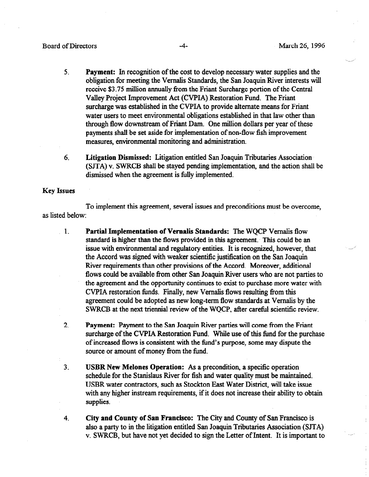### Board of Directors **-4** March 26, 1996

 $\mathbb{Z}_2$ 

- 5. Payment: In recognition of the cost to develop necessary water supplies and the obligation for meeting the Vemalis Standards, the San Joaquin River interests will receive \$3.75 million annually from the Friant Surcharge portion of the Central Valley Project Improvement Act (CVPIA) Restoration Fund. The Friant surcharge was established in the CVPIA to provide alternate means for Friant water users to meet environmental obligations established in that law other than through flow downstream of Friant Dam. One million dollars per year of these payments shall be set aside for implementation of non-flow fish improvement measures, environmental monitoring and administration.
- 6. Litigation Dismissed: Litigation entitled San Joaquin Tributaries Association (SJTA) v. SWRCB shall be stayed pending implementation, and the action shall be dismissed when the agreement is fully implemented.

#### Key Issues

To implement this agreement, several issues and preconditions must be overcome, as listed below:

- 1. Partial Implementation of Vernalis Standards: The WQCP Vemalis flow standard is higher than the flows provided in this agreement. This could be an issue with environmental and regulatory entities. It is recognized, however, that the Accord was signed with weaker scientific justification on the San Joaquin River requirements than other provisions of the Accord. Moreover, additional flows could be available from other San Joaquin River users who are not parties to the agreement and the opportunity continues to exist to purchase more water with CVPIA restoration funds. Finally, new Vemalis flows resulting from this agreement could be adopted as new long-term flow standards at Vemalis by the SWRCB at the next triennial review of the WQCP, after careful scientific review.
- 2. Payment: Payment to the San Joaquin River parties will come from the Friant surcharge of the CVPIA Restoration Fund. While use of this fimd for the purchase of increased flows is consistent with the fund's purpose, some may dispute the source or amount of money from the fimd.
- 3. USBR New Melones Operation: As a precondition, a specific operation schedule for the Stanislaus River for fish and water quality must be maintained. USBR water contractors, such as Stockton East Water District, will take issue with any higher instream requirements, if it does not increase their ability to obtain supplies.
- 4. City and County of San Francisco: The City and County of San Francisco is also a party to in the litigation entitled San Joaquin Tributaries Association (SJTA) v. SWRCB, but have not yet decided to sign the Letter of Intent. It is important to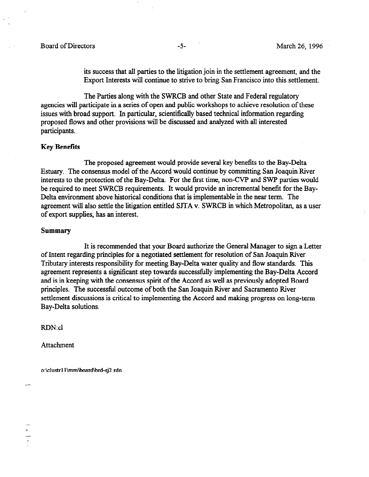### Board of Directors -5- March 26, 1996

its success that all parties to the litigation join in the settlement agreement, and the Export Interests will continue to strive to bring San Francisco into this settlement.

The Parties along with the SWRCB and other State and Federal regulatory agencies will participate in a series of open and public workshops to achieve resolution of these issues with broad support. In particular, scientifically based technical information regarding proposed flows and other provisions will be discussed and analyzed with all interested participants.

#### Key Benefits

The proposed agreement would provide several key benefits to the Bay-Delta Estuary. The consensus model of the Accord would continue by committing San Joaquin River interests to the protection of the Bay-Delta. For the first time, non-CVP and SWP parties would be required to meet SWRCB requirements. It would provide an incremental benefit for the Bay-Delta environment above historical conditions that is implementable in the near term. The agreement will also settle the litigation entitled SJTA v. SWRCB in which Metropolitan as a user of export supplies, has an interest.

#### Summary

It is recommended that your Board authorize the General Manager to sign a Letter of Intent regarding principles for a negotiated settlement for resolution of San Joaquin River Tributary interests responsibility for meeting Bay-Delta water quality and flow standards. This agreement represents a significant step towards successfully implementing the Bay-Delta Accord and is in keeping with the consensus spirit of the Accord as well as previously adopted Board principles. The successful outcome of both the San Joaquin River and Sacramento River settlement discussions is critical to implementing the Accord and making progress on long-term Bay-Delta solutions.

RDN: cl

**Attachment** 

o:\clustrl l\mm\board\brd-sj2.rdn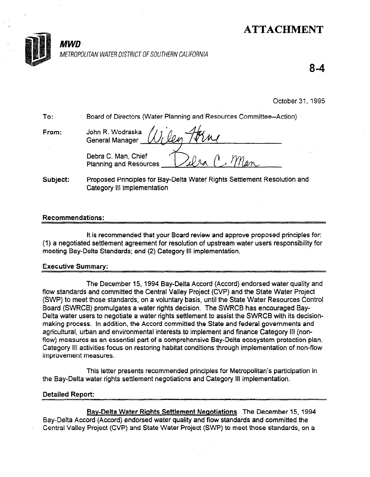# ATTACHMENT



# : MWD

METROPOLITAN WATER DISTRICT OF SOUTHERN CALIFORNIA

8-4

October 31, 1995

| To:      | <b>Board of Directors (Water Planning and Resources Committee--Action)</b>                              |  |
|----------|---------------------------------------------------------------------------------------------------------|--|
| From:    | John R. Wodraska <i>(U<sub>L</sub>Ley Torne</i> )                                                       |  |
|          | Debra C. Man, Chief<br>Planning and Resources Dulra                                                     |  |
| Subject: | Proposed Principles for Bay-Delta Water Rights Settlement Resolution and<br>Category III Implementation |  |

# Recommendations:

It is recommended that your Board review and approve proposed principles for: (1) a negotiated settlement and settlement and approve proposed principies rot. (1) a negotiated settlement agreement for resolution of upstream water users responsibility for meeting Bay-Delta Standards; and (2) Category III implementation.

# Executive Summary:

The December 15, 1994 Bay-Delta Accord (Accord) endorsed water quality and flow standards and committed the Central Valley Project State (CVIIII) and the Central Valley State Water Project T flow standards and committed the Central Valley Project (CVP) and the State Water Project (SWP) to meet those standards, on a voluntary basis, until the State Water Resources Control Board (SWRCB) promulgates a water rights decision. The SWRCB has encouraged Bay-Delta water users to negotiate a water rights settlement to assist the SWRCB with its decisionmaking process. In addition, the Accord committed the State and federal governments and agricultural, urban and environmental interests to implement and finance Category III (nonflow) measures as an essential part of a comprehensive Bay-Delta ecosystem protection plan. Category III activities focus on restoring habitat conditions through implementation of non-flow improvement measures.

This letter presents recommended principles for Metropolitan's participation in the Bay-Delta water rights settlement negotiations and Category III implementation.

# **Detailed Report:**

Bay-Delta Water Rights Settlement Negotiations. The December 15, 1994 Bay-Delta Accord (Accord) endorsed water quality and flow standards and committed the Central Valley Project (CVP) and State Water Project (SWP) to meet those standards, on a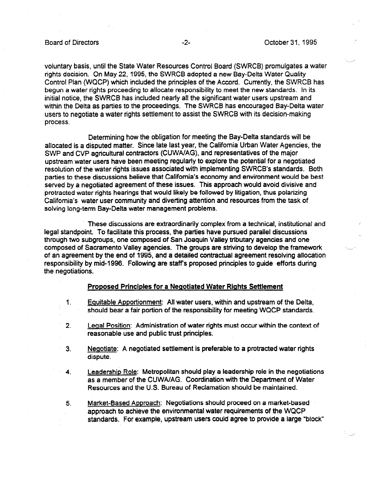voluntary basis, until the State Water Resources Control Board (SWRCB) promulgates a water rights decision. On May 22, 1995, the SWRCB adopted a new Bay-Delta Water Quality Control Plan (WQCP) which included the principles of the Accord. Currently, the SWRCB has begun a water rights proceeding to allocate responsibility to meet the new standards. In its initial notice, the SWRCB has included nearly all the significant water users upstream and within the Delta as parties to the proceedings. The SWRCB has encouraged Bay-Delta water users to negotiate a water rights settlement to assist the SWRCB with its decision-making process.

Determining how the obligation for meeting the Bay-Delta standards will be allocated is a disputed matter. Since late last year, the California Urban Water Agencies, the SWP and CVP agricultural contractors (CUWAIAG), and representatives of the major upstream water users have been meeting regularly to explore the potential for a negotiated resolution of the water rights issues associated with implementing SWRCB's standards. Both parties to these discussions believe that California's economy and environment would be best served by a negotiated agreement of these issues. This approach would avoid divisive and protracted water rights hearings that would likely be followed by litigation, thus polarizing California's water user community and diverting attention and resources from the task of solving long-term Bay-Delta water management problems.

These discussions are extraordinarily complex from a technical, institutional and legal standpoint. To facilitate this process, the parties have pursued parallel discussions through two subgroups, one composed of San Joaquin Valley tributary agencies and one composed of Sacramento Valley agencies. The groups are striving to develop the framework of an agreement by the end of 1995, and a detailed contractual agreement resolving allocation responsibility by mid-1996. Following are staff's proposed principles to guide efforts during the negotiations.

#### Proposed Principles for a Neaotiated Water Riahts Settlement

- 1. Equitable Apportionment: All water users, within and upstream of the Delta, should bear a fair portion of the responsibility for meeting WQCP standards.
- 2. Leqal Position: Administration of water rights must occur within the context of reasonable use and public trust principles.
- 3. Neaotiate: A negotiated settlement is preferable to a protracted water rights dispute.
- 4. Leadership Role: Metropolitan should play a leadership role in the negotiations as a member of the CUWA/AG. Coordination with the Department of Water Resources and the U.S. Bureau of Reclamation should be maintained.
- 5. Market-Based Approach: Negotiations should proceed on a market-based approach to achieve the environmental water requirements of the WQCP standards. For example, upstream users could agree to provide a large "block"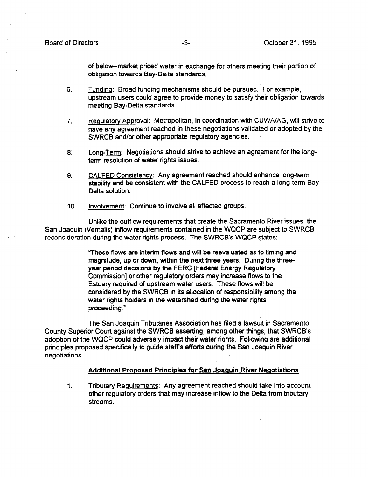of below-market priced water in exchange for others meeting their portion of obligation towards Bay-Delta standards.

- 6. Funding: Broad funding mechanisms should be pursued. For example, upstream users could agree to provide money to satisfy their obligation towards meeting Bay-Delta standards.
- 7. Requlatorv Approval: Metropolitan, in coordination with CUWA/AG, will strive to have any agreement reached in these negotiations validated or adopted by the SWRCB and/or other appropriate regulatory agencies.
- 8. Lono-Term: Negotiations should strive to achieve an agreement for the longterm resolution of water rights issues.
- 9. CALFED Consistency: Any agreement reached should enhance long-term stability and be consistent with the CALFED process to reach a long-term Bay-Delta solution.
- 10. Involvement: Continue to involve all affected groups.

Unlike the oufflow requirements that create the Sacramento River issues, the San Joaquin (Vernalis) inflow requirements contained in the WQCP are subject to SWRCB reconsideration during the water rights process. The SWRCB's WQCP states:

> "These flows are interim flows and will be reevaluated as to timing and magnitude, up or down, within the next three years. During the threeyear period decisions by the FERC [Federal Energy Regulatory Commission] or other regulatory orders may increase flows to the Estuary required of upstream water users. These flows will be considered by the SWRCB in its allocation of responsibility among the water rights holders in the watershed during the water rights proceeding."

The San Joaquin Tributaries Association has filed a lawsuit in Sacramento County Superior Court against the SWRCB asserting, among other things, that SWRCB's adoption of the WQCP could adversely impact their water rights. Following are additional principles proposed specifically to guide staffs efforts during the San Joaquin River negotiations.

#### Additional Proposed Principles for San Joaquin River Negotiations

1. Tributary Reauirements: Any agreement reached should take into account other regulatory orders that may increase inflow to the Delta from tributary streams.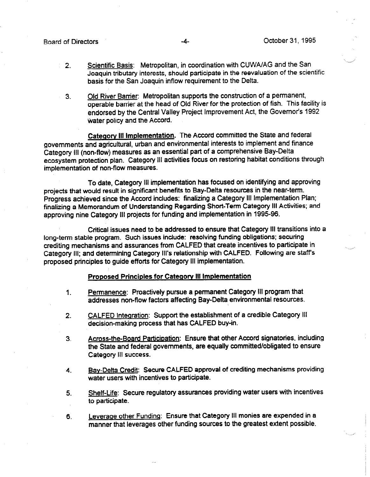- 2. Scientific Basis: Metropolitan, in coordination with CUWA/AG and the San Joaquin tributary interests, should participate in the reevaluation of the scientific basis for the San Joaquin inflow requirement to the Delta.
- 3. Old River Barrier: Metropolitan supports the construction of a permanent, operable barrier at the head of Old River for the protection of fish. This facility is endorsed by the Central Valley Project Improvement Act, the Governor's 1992 water policy and the Accord.

Category III Implementation. The Accord committed the State and federal governments and agricultural, urban and environmental interests to implement and finance Category Ill (non-flow) measures as an essential part of a comprehensive Bay-Delta ecosystem protection plan. Category III activities focus on restoring habitat conditions through implementation of non-flow measures.

To date, Category Ill implementation has focused on identifying and approving projects that would result in significant benefits to Bay-Delta resources in the near-term. Progress achieved since the Accord includes: finalizing a Category Ill Implementation Plan; finalizing a Memorandum of Understanding Regarding Short-Term Category III Activities; and approving nine Category III projects for funding and implementation in 1995-96.

Critical issues need to be addressed to ensure that Category III transitions into a long-term stable program. Such issues include: resolving funding obligations; securing crediting mechanisms and assurances from CALFED that create incentives to participate in Category III; and determining Category III's relationship with CALFED. Following are staff's proposed principles to guide efforts for Category Ill implementation.

#### Proposed Principles for Category III Implementation

- 1. Permanence: Proactively pursue a permanent Category Ill program that addresses non-flow factors affecting Bay-Delta environmental resources.
- 2. CALFED integration: Support the establishment of a credible Category III decision-making process that has CALFED buy-in.
- 3. Across-the-Board Participation: Ensure that other Accord signatories, including the State and federal governments, are equally committed/obligated to ensure Category III success.
- 4. Bav-Delta Credit: Secure CALFED approval of crediting mechanisms providing water users with incentives to participate.
- 5. Shelf-Life: Secure regulatory assurances providing water users with incentives to participate.
- 6. Leveraqe other Funding: Ensure that Category Ill monies are expended in a manner that leverages other funding sources to the greatest extent possible.